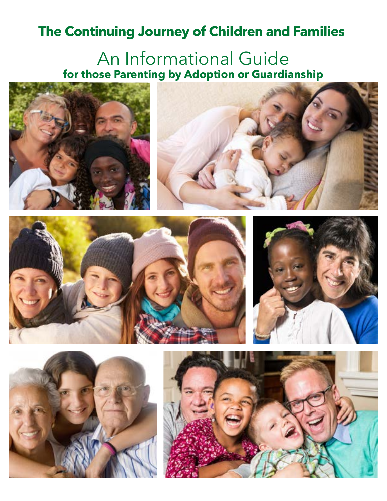# **The Continuing Journey of Children and Families**

# An Informational Guide **for those Parenting by Adoption or Guardianship**











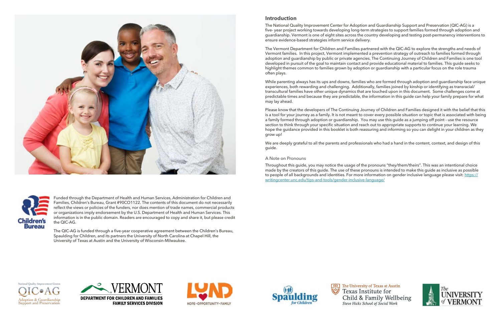



Funded through the Department of Health and Human Services, Administration for Children and Families, Children's Bureau, Grant #90CO1122. The contents of this document do not necessarily reflect the views or policies of the funders, nor does mention of trade names, commercial products or organizations imply endorsement by the U.S. Department of Health and Human Services. This information is in the public domain. Readers are encouraged to copy and share it, but please credit the QIC-AG.

The QIC-AG is funded through a five-year cooperative agreement between the Children's Bureau, Spaulding for Children, and its partners the University of North Carolina at Chapel Hill, the University of Texas at Austin and the University of Wisconsin-Milwaukee.

#### **Introduction**

The National Quality Improvement Center for Adoption and Guardianship Support and Preservation (QIC-AG) is a five- year project working towards developing long-term strategies to support families formed through adoption and guardianship. Vermont is one of eight sites across the country developing and testing post-permanency interventions to ensure evidence-based strategies inform service delivery.

The Vermont Department for Children and Families partnered with the QIC-AG to explore the strengths and needs of Vermont families. In this project, Vermont implemented a prevention strategy of outreach to families formed through adoption and guardianship by public or private agencies. The Continuing Journey of Children and Families is one tool developed in pursuit of the goal to maintain contact and provide educational material to families. This guide seeks to highlight themes common to families grown by adoption or guardianship with a particular focus on the role trauma often plays.

While parenting always has its ups and downs, families who are formed through adoption and guardianship face unique experiences, both rewarding and challenging. Additionally, families joined by kinship or identifying as transracial/ transcultural families have other unique dynamics that are touched upon in this document. Some challenges come at predictable times and because they are predictable, the information in this guide can help your family prepare for what may lay ahead.

Please know that the developers of The Continuing Journey of Children and Families designed it with the belief that this is a tool for your journey as a family. It is not meant to cover every possible situation or topic that is associated with being a family formed through adoption or guardianship. You may use this guide as a jumping off point - use the resource section to think through your specific situation and reach out to appropriate supports to continue your learning. We hope the guidance provided in this booklet is both reassuring and informing so you can delight in your children as they grow up!

We are deeply grateful to all the parents and professionals who had a hand in the content, context, and design of this guide.

#### A Note on Pronouns

Throughout this guide, you may notice the usage of the pronouns "they/them/theirs". This was an intentional choice made by the creators of this guide. The use of these pronouns is intended to make this guide as inclusive as possible to people of all backgrounds and identities. For more information on gender inclusive language please visit: [https://](https://writingcenter.unc.edu/tips-and-tools/gender-inclusive-language/) [writingcenter.unc.edu/tips-and-tools/gender-inclusive-language/](https://writingcenter.unc.edu/tips-and-tools/gender-inclusive-language/)

Adoption & Guardianship **Support and Preservation** 









The University of Texas at Austin Child & Family Wellbeing Steve Hicks School of Social Work

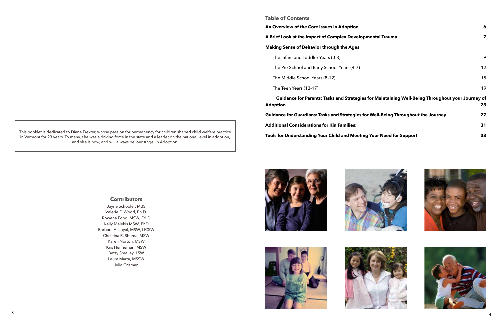

# **Contributors**

Jayne Schooler, MBS Valerie F. Wood, Ph.D. Rowena Fong, MSW, Ed.D Kelly Melekis MSW, PhD Barbara A. Joyal, MSW, LICSW Christina R. Shuma, MSW Karen Norton, MSW Kris Henneman, MSW Betsy Smalley, LSW Laura Marra, MSSW Julia Crisman











This booklet is dedicated to Diane Dexter, whose passion for permanency for children shaped child welfare practice in Vermont for 23 years. To many, she was a driving force in the state and a leader on the national level in adoption, and she is now, and will always be, our Angel in Adoption.

#### **Table of Contents**

#### **[An Overview of the Core Issues in Adoption](#page-3-0) 6**

#### **A Brief Look at the Impact of Complex Developm**

#### **Making Sense of Behavior through the Ages**

| An Overview of the Core Issues in Adoption                                                                   | $\boldsymbol{6}$ |
|--------------------------------------------------------------------------------------------------------------|------------------|
| A Brief Look at the Impact of Complex Developmental Trauma                                                   | 7                |
| <b>Making Sense of Behavior through the Ages</b>                                                             |                  |
| The Infant and Toddler Years (0-3)                                                                           | 9                |
| The Pre-School and Early School Years (4-7)                                                                  | 12               |
| The Middle School Years (8-12)                                                                               | 15               |
| The Teen Years (13-17)                                                                                       | 19               |
| Guidance for Parents: Tasks and Strategies for Maintaining Well-Being Throughout your Journey of<br>Adoption | 23               |
| Guidance for Guardians: Tasks and Strategies for Well-Being Throughout the Journey                           | 27               |
| <b>Additional Considerations for Kin Families:</b>                                                           | 31               |
| Tools for Understanding Your Child and Meeting Your Need for Support                                         | 33               |





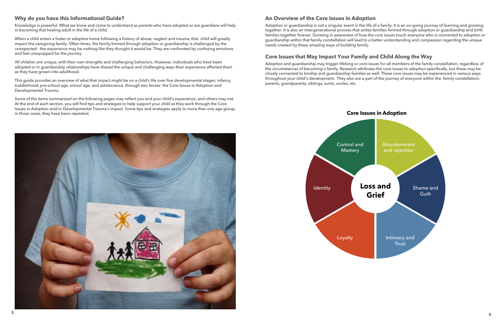#### <span id="page-3-0"></span>**Why do you have this Informational Guide?**

Knowledge is powerful. What we know and come to understand as parents who have adopted or are guardians will help in becoming that healing adult in the life of a child.

When a child enters a foster or adoptive home following a history of abuse, neglect and trauma, that child will greatly impact the caregiving family. Often times, the family formed through adoption or guardianship is challenged by the unexpected - the experience may be nothing like they thought it would be. They are confronted by confusing emotions and feel unequipped for the journey.

All children are unique, with their own strengths and challenging behaviors. However, individuals who have been adopted or in guardianship relationships have shared the unique and challenging ways their experience affected them as they have grown into adulthood.

This guide provides an overview of what that impact might be on a child's life over five developmental stages: infancy, toddlerhood, pre-school age, school age, and adolescence, through two lenses: the Core Issues in Adoption and Developmental Trauma.

Some of the items summarized on the following pages may reflect you and your child's experience, and others may not. At the end of each section, you will find tips and strategies to help support your child as they work through the Core Issues in Adoption and/or Developmental Trauma's impact. Some tips and strategies apply to more than one age group, in those cases, they have been repeated.

### **An Overview of the Core Issues in Adoption**

Adoption or guardianship is not a singular event in the life of a family. It is an on-going journey of learning and growing together. It is also an intergenerational process that unites families formed through adoption or guardianship and birth families together forever. Growing in awareness of how the core issues touch everyone who is connected to adoption or guardianship within that family constellation will lead to a better understanding and compassion regarding the unique needs created by these amazing ways of building family.

# **Core Issues that May Impact Your Family and Child Along the Way**

Adoption and guardianship may trigger lifelong or core issues for all members of the family constellation, regardless of the circumstances of becoming a family. Research attributes the core issues to adoption specifically, but these may be closely connected to kinship and guardianship families as well. These core issues may be experienced in various ways throughout your child's development. They also are a part of the journey of everyone within the family constellation: parents, grandparents, siblings, aunts, uncles, etc.

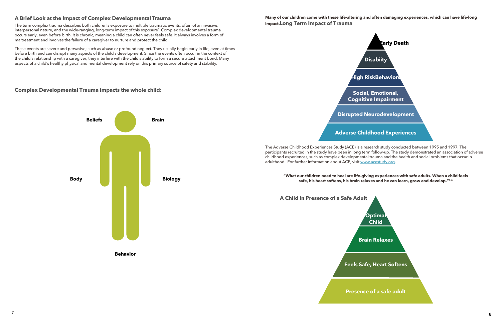# <span id="page-4-0"></span>**A Brief Look at the Impact of Complex Developmental Trauma**

The term complex trauma describes both children's exposure to multiple traumatic events, often of an invasive, interpersonal nature, and the wide-ranging, long-term impact of this exposure<sup>1</sup>. Complex developmental trauma occurs early, even before birth. It is chronic, meaning a child can often never feels safe. It always involves a form of maltreatment and involves the failure of a caregiver to nurture and protect the child.

These events are severe and pervasive; such as abuse or profound neglect. They usually begin early in life, even at times before birth and can disrupt many aspects of the child's development. Since the events often occur in the context of the child's relationship with a caregiver, they interfere with the child's ability to form a secure attachment bond. Many aspects of a child's healthy physical and mental development rely on this primary source of safety and stability.

#### **Complex Developmental Trauma impacts the whole child:**



**Behavior**

#### **Many of our children come with these life-altering and often damaging experiences, which can have life-long impact.Long Term Impact of Trauma**

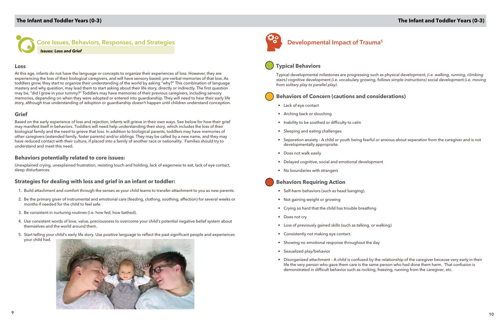<span id="page-5-0"></span>**Core Issues, Behaviors, Responses, and Strategies** *Issues: Loss and Grief*

#### **Loss**

At this age, infants do not have the language or concepts to organize their experiences of loss. However, they are experiencing the loss of their biological caregivers, and will have sensory based, pre-verbal memories of that loss. As toddlers grow, they start to organize their understanding of the world by asking "why?" This combination of language mastery and why question, may lead them to start asking about their life story, directly or indirectly. The first question may be, "did I grow in your tummy?" Toddlers may have memories of their previous caregivers, including sensory memories, depending on when they were adopted or entered into guardianship. They will need to hear their early life story, although true understanding of adoption or guardianship doesn't happen until children understand conception.

#### **Grief**

Based on the early experience of loss and rejection, infants will grieve in their own ways. See below for how their grief may manifest itself in behaviors. Toddlers will need help understanding their story, which includes the loss of their biological family and the need to grieve that loss. In addition to biological parents, toddlers may have memories of other caregivers (extended family, foster parents) and/or siblings. They may be called by a new name, and they may have reduced contact with their culture, if placed into a family of another race or nationality. Families should try to understand and meet this need.

#### **Behaviors potentially related to core issues:**

Unexplained crying, unexplained frustration, resisting touch and holding, lack of eagerness to eat, lack of eye contact, sleep disturbances.

### **Strategies for dealing with loss and grief in an infant or toddler:**

- 1. Build attachment and comfort through the senses as your child learns to transfer attachment to you as new parents.
- 2. Be the primary giver of instrumental and emotional care (feeding, clothing, soothing, affection) for several weeks or months if needed for the child to feel safe.
- 3. Be consistent in nurturing routines (i.e. how fed, how bathed).
- 4. Use consistent words of love, value, preciousness to overcome your child's potential negative belief system about themselves and the world around them.
- 5. Start telling your child's early life story. Use positive language to reflect the past significant people and experiences your child had.





# **Developmental Impact of Trauma5**

# **Typical Behaviors**

Typical developmental milestones are progressing such as physical development, *(i.e. walking, running, climbing stairs)* cognitive development *(i.e. vocabulary growing, follows simple instructions)* social development *(i.e. moving from solitary play to parallel play)*.

# **Behaviors of Concern (cautions and considerations)**

• Separation anxiety - A child or youth being fearful or anxious about seperation from the caregiver and is not

- Lack of eye contact
- Arching back or slouching
- Inability to be soothed or difficulty to calm
- Sleeping and eating challenges
- developmentally appropraite.
- Does not walk easily
- Delayed cognitive, social and emotional development
- No boundaries with strangers

### **Behaviors Requiring Action**

- Self-harm behaviors (such as head banging).
- Not gaining weight or growing
- Crying so hard that the child has trouble breathing
- Does not cry
- Loss of previously gained skills (such as talking, or walking)
- Consistently not making eye contact.
- Showing no emotional response throughout the day
- Sexualized play/behavior
- demonstrated in difficult behavior such as rocking, freezing, running from the caregiver, etc.

• Disorganized attachment – A child is confused by the relationship of the caregiver because very early in their life the very person who gave them care is the same person who had done them harm. That confusion is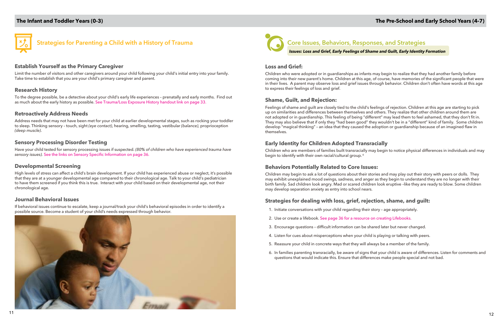# **The Pre-School and Early School Years (4-7)**



*Issues: Loss and Grief, Early Feelings of Shame and Guilt, Early Identity Formation*

#### **Loss and Grief:**

Children who were adopted or in guardianships as infants may begin to realize that they had another family before coming into their new parent's home. Children at this age, of course, have memories of the significant people that were in their lives. A parent may observe loss and grief issues through behavior. Children don't often have words at this age to express their feelings of loss and grief.

#### **Shame, Guilt, and Rejection:**

Children who are members of families built transracially may begin to notice physical differences in individuals and may begin to identify with their own racial/cultural group.<sup>6</sup>

Feelings of shame and guilt are closely tied to the child's feelings of rejection. Children at this age are starting to pick up on similarities and differences between themselves and others. They realize that other children around them are not adopted or in guardianship. This feeling of being "different" may lead them to feel ashamed, that they don't fit in. They may also believe that if only they "had been good" they wouldn't be in a "different" kind of family. Some children develop "magical thinking" – an idea that they caused the adoption or guardianship because of an imagined flaw in themselves.

### **Early Identity for Children Adopted Transracially**

### **Behaviors Potentially Related to Core Issues:**

Children may begin to ask a lot of questions about their stories and may play out their story with peers or dolls. They may exhibit unexplained mood swings, sadness, and anger as they begin to understand they are no longer with their birth family. Sad children look angry. Mad or scared children look eruptive –like they are ready to blow. Some children may develop separation anxiety as entry into school nears.

## **Strategies for dealing with loss, grief, rejection, shame, and guilt:**

- 1. Initiate conversations with your child regarding their story age appropriately.
- 2. Use or create a lifebook. See page 36 for a resource on creating Lifebooks.
- 3. Encourage questions difficult information can be shared later but never changed.
- 4. Listen for cues about misperceptions when your child is playing or talking with peers.
- 5. Reassure your child in concrete ways that they will always be a member of the family.
- questions that would indicate this. Ensure that differences make people special and not bad.

6. In families parenting transracially, be aware of signs that your child is aware of differences. Listen for comments and

<span id="page-6-0"></span>

# **Strategies for Parenting a Child with a History of Trauma**

#### **Establish Yourself as the Primary Caregiver**

Limit the number of visitors and other caregivers around your child following your child's initial entry into your family. Take time to establish that you are your child's primary caregiver and parent.

#### **Research History**

To the degree possible, be a detective about your child's early life experiences – prenatally and early months. Find out as much about the early history as possible. See Trauma/Loss Exposure History handout link on page 33.

#### **Retroactively Address Needs**

Address needs that may not have been met for your child at earlier developmental stages, such as rocking your toddler to sleep. Thinking sensory – touch, sight *(eye contact)*, hearing, smelling, tasting, vestibular *(balance)*, proprioception *(deep muscle)*.

#### **Sensory Processing Disorder Testing**

Have your child tested for sensory processing issues if suspected. *(80% of children who have experienced trauma have sensory issues).* See the links on Sensory Specific Information on page 36.

#### **Developmental Screening**

High levels of stress can affect a child's brain development. If your child has experienced abuse or neglect, it's possible that they are at a younger developmental age compared to their chronological age. Talk to your child's pediatrician to have them screened if you think this is true. Interact with your child based on their developmental age, not their chronological age.

#### **Journal Behavioral Issues**

If behavioral issues continue to escalate, keep a journal/track your child's behavioral episodes in order to identify a possible source. Become a student of your child's needs expressed through behavior.

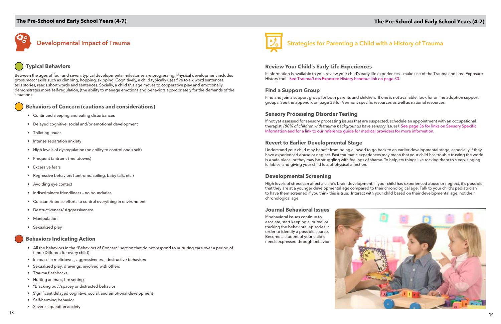

# **The Pre-School and Early School Years (4-7)**

# **Developmental Impact of Trauma**

# **Typical Behaviors**

Between the ages of four and seven, typical developmental milestones are progressing. Physical development includes gross motor skills such as climbing, hopping, skipping. Cognitively, a child typically uses five to six word sentences, tells stories, reads short words and sentences. Socially, a child this age moves to cooperative play and emotionally demonstrates more self-regulation, (the ability to manage emotions and behaviors appropriately for the demands of the situation).

# **Behaviors of Concern (cautions and considerations)**

- Continued sleeping and eating disturbances
- Delayed cognitive, social and/or emotional development
- Toileting issues
- Intense separation anxiety
- High levels of dysregulation (no ability to control one's self)
- Frequent tantrums (meltdowns)
- Excessive fears
- Regressive behaviors (tantrums, soiling, baby talk, etc.)
- Avoiding eye contact
- Indiscriminate friendliness no boundaries
- Constant/intense efforts to control everything in environment
- Destructiveness/ Aggressiveness
- Manipulation
- Sexualized play

# **Behaviors Indicating Action**

- All the behaviors in the "Behaviors of Concern" section that do not respond to nurturing care over a period of time. (Different for every child)
- Increase in meltdowns, aggressiveness, destructive behaviors
- Sexualized play, drawings, involved with others
- Trauma flashbacks
- Hurting animals, fire setting
- "Blacking out"/spacey or distracted behavior
- Significant delayed cognitive, social, and emotional development
- Self-harming behavior
- Severe separation anxiety



**Strategies for Parenting a Child with a History of Trauma**

### **Review Your Child's Early Life Experiences**

If information is available to you, review your child's early life experiences – make use of the Trauma and Loss Exposure History tool. See Trauma/Loss Exposure History handout link on page 33.

## **Find a Support Group**

Find and join a support group for both parents and children. If one is not available, look for online adoption support groups. See the appendix on page 33 for Vermont specific resources as well as national resources.

# **Sensory Processing Disorder Testing**

If not yet assessed for sensory processing issues that are suspected, schedule an appointment with an occupational therapist. *(80% of children with trauma backgrounds have sensory issues).* See page 36 for links on Sensory Specific Information and for a link to our reference guide for medical providers for more information.

## **Revert to Earlier Developmental Stage**

Understand your child may benefit from being allowed to go back to an earlier developmental stage, especially if they have experienced abuse or neglect. Past traumatic experiences may mean that your child has trouble trusting the world is a safe place, or they may be struggling with feelings of shame. To help, try things like rocking them to sleep, singing lullabies, and giving your child lots of physical affection.

### **Developmental Screening**

High levels of stress can affect a child's brain development. If your child has experienced abuse or neglect, it's possible that they are at a younger developmental age compared to their chronological age. Talk to your child's pediatrician to have them screened if you think this is true. Interact with your child based on their developmental age, not their chronological age.

#### **Journal Behavioral Issues**

If behavioral issues continue to escalate, start keeping a journal or tracking the behavioral episodes in order to identify a possible source. Become a student of your child's needs expressed through behavior.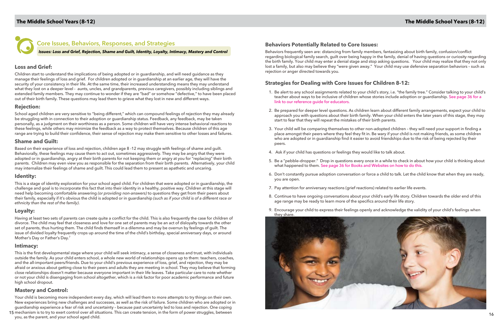<span id="page-8-0"></span>

# **Core Issues, Behaviors, Responses, and Strategies**

*Issues: Loss and Grief, Rejection, Shame and Guilt, Identity, Loyalty, Intimacy, Mastery and Control*

# **Loss and Grief:**

Children start to understand the implications of being adopted or in guardianship, and will need guidance as they manage their feelings of loss and grief. For children adopted or in guardianship at an earlier age, they will have the security of your consistency in their life. At the same time, their increased understanding means they may understand what they lost on a deeper level - aunts, uncles, and grandparents, previous caregivers, possibly including siblings and extended family members. They may continue to wonder if they are "bad" or somehow "defective," to have been placed out of their birth family. These questions may lead them to grieve what they lost in new and different ways.

### **Rejection:**

School aged children are very sensitive to "being different," which can compound feelings of rejection they may already be struggling with in connection to their adoption or guardianship status. Feedback, any feedback, may be taken personally, as a judgment on their worthiness as a person. Some children will have very intense behavioral reactions to these feelings, while others may minimize the feedback as a way to protect themselves. Because children of this age range are trying to build their confidence, their sense of rejection may make them sensitive to other losses and failures.

### **Shame and Guilt:**

Based on their experience of loss and rejection, children age 8 -12 may struggle with feelings of shame and guilt. Behaviorally, these feelings may cause them to act out, sometimes aggressively. They may be angry that they were adopted or in guardianship, angry at their birth parents for not keeping them or angry at you for "replacing" their birth parents. Children may even view you as responsible for the separation from their birth parents. Alternatively, your child may internalize their feelings of shame and guilt. This could lead them to present as apathetic and uncaring.

### **Identity:**

<sup>15</sup> <sup>16</sup> mechanism is to try to exert control over all situations. This can create tension, in the form of power struggles, between Your child is becoming more independent every day, which will lead them to more attempts to try things on their own. New experiences bring new challenges and successes, as well as the risk of failure. Some children who are adopted or in guardianship experience a fear of risk and uncertainty – because past uncertainty led to loss and rejection. One coping

This is a stage of identity exploration for your school aged child. For children that were adopted or in guardianship, the challenge and goal is to incorporate this fact that into their identity in a healthy, positive way. Children at this stage will need help becoming comfortable answering *(or providing non-answers)* to questions they get from their peers about their family, especially if it's obvious the child is adopted or in guardianship *(such as if your child is of a different race or ethnicity than the rest of the family)*.

# **Loyalty:**

Having at least two sets of parents can create quite a conflict for the child. This is also frequently the case for children of divorce. The child may feel that closeness and love for one set of parents may be an act of disloyalty towards the other set of parents, thus hurting them. The child finds themself in a dilemma and may be overrun by feelings of guilt. The issue of divided loyalty frequently crops up around the time of the child's birthday, special anniversary days, or around Mother's Day or Father's Day.<sup>7</sup>

### **Intimacy:**

This is the first developmental stage where your child will seek intimacy, a sense of closeness and trust, with individuals outside the family. As your child enters school, a whole new world of relationships opens up to them: teachers, coaches, and the all-important peers/friends. Due to your child's previous experience of loss, grief, and rejection, they may be afraid or anxious about getting close to their peers and adults they are meeting in school. They may believe that forming close relationships doesn't matter because everyone important in their life leaves. Take particular care to note whether or not your child is disengaging from school altogether, which is a risk factor for poor academic performance and future high school dropout.

### **Mastery and Control:**

you, as the parent, and your school aged child.

# **Behaviors Potentially Related to Core Issues:**

Behaviors frequently seen are: distancing from family members, fantasizing about birth family, confusion/conflict regarding biological family search, guilt over being happy in the family, denial of having questions or curiosity regarding the birth family. Your child may enter a denial stage and stop asking questions. Your child may realize that they not only lost a family, but also may believe they "were given away." Your child may use defensive separation behaviors – such as rejection or anger directed towards you.

# **Strategies for Dealing with Core Issues for Children 8-12:**

1. Be alert to any school assignments related to your child's story, i.e. "the family tree." Consider talking to your child's teacher about ways to be inclusive of children whose stories include adoption or guardianship. See page 36 for a

2. Be prepared for deeper level questions. As children learn about different family arrangements, expect your child to approach you with questions about their birth family. When your child enters the later years of this stage, they may

3. Your child will be comparing themselves to other non-adopted children – they will need your support in finding a place amongst their peers where they feel they fit in. Be wary if your child is not making friends, as some children who are adopted or in guardianship find it easier to avoid friendships due to the risk of being rejected by their

- link to our reference guide for educators.
- start to fear that they will repeat the mistakes of their birth parents.
- peers.
- 4. Ask if your child has questions or feelings they would like to talk about.
- what happened to them. See page 36 for Books and Websites on how to do this.
- you are open.
- 7. Pay attention for anniversary reactions (grief reactions) related to earlier life events.
- age range may be ready to learn more of the specifics around their life story.
- they share.

5. Be a "pebble–dropper." Drop in questions every once in a while to check in about how your child is thinking about

6. Don't constantly pursue adoption conversation or force a child to talk. Let the child know that when they are ready,

8. Continue to have ongoing conversations about your child's early life story. Children towards the older end of this

9. Encourage your child to express their feelings openly and acknowledge the validity of your child's feelings when

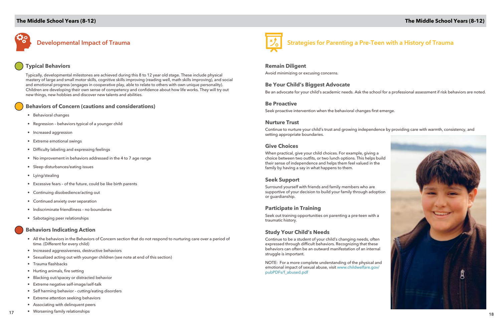# **Developmental Impact of Trauma**

# **Typical Behaviors**

Typically, developmental milestones are achieved during this 8 to 12 year old stage. These include physical mastery of large and small motor skills, cognitive skills improving (reading well, math skills improving), and social and emotional progress (engages in cooperative play, able to relate to others with own unique personality). Children are developing their own sense of competency and confidence about how life works. They will try out new things, new hobbies and discover new talents and abilities.

## **Behaviors of Concern (cautions and considerations)**

- Behavioral changes
- Regression behaviors typical of a younger child
- Increased aggression
- Extreme emotional swings
- Difficulty labeling and expressing feelings
- No improvement in behaviors addressed in the 4 to 7 age range
- Sleep disturbances/eating issues
- Lying/stealing
- Excessive fears of the future, could be like birth parents
- Continuing disobedience/acting out
- Continued anxiety over separation
- Indiscriminate friendliness no boundaries
- Sabotaging peer relationships

### **Behaviors Indicating Action**

- All the behaviors in the Behaviors of Concern section that do not respond to nurturing care over a period of time. (Different for every child)
- Increased aggressiveness, destructive behaviors
- Sexualized acting out with younger children (see note at end of this section)
- Trauma flashbacks
- Hurting animals, fire setting
- Blacking out/spacey or distracted behavior
- Extreme negative self-image/self-talk
- Self harming behavior cutting/eating disorders
- Extreme attention seeking behaviors
- Associating with delinquent peers
- vorsening family relationships and the value of the value of the value of the value of the visit of the value of the value of the value of the value of the value of the value of the value of the value of the value of th • Worsening family relationships



# **Strategies for Parenting a Pre-Teen with a History of Trauma**



#### **Remain Diligent**

Avoid minimizing or excusing concerns.

#### **Be Your Child's Biggest Advocate**

Be an advocate for your child's academic needs. Ask the school for a professional assessment if risk behaviors are noted.

#### **Be Proactive**

Seek proactive intervention when the behavioral changes first emerge.

#### **Nurture Trust**

Continue to nurture your child's trust and growing independence by providing care with warmth, consistency, and setting appropriate boundaries.

### **Give Choices**

When practical, give your child choices. For example, giving a choice between two outfits, or two lunch options. This helps build their sense of independence and helps them feel valued in the family by having a say in what happens to them.

#### **Seek Support**

Surround yourself with friends and family members who are supportive of your decision to build your family through adoption or guardianship.

### **Participate in Training**

Seek out training opportunities on parenting a pre-teen with a traumatic history.

### **Study Your Child's Needs**

Continue to be a student of your child's changing needs, often expressed through difficult behaviors. Recognizing that these behaviors can often be an outward manifestation of an internal struggle is important.

NOTE: For a more complete understanding of the physical and emotional impact of sexual abuse, visit [www.childwelfare.gov/](www.childwelfare.gov/pubPDFs/f_abused.pdf) [pubPDFs/f\\_abused.pdf](www.childwelfare.gov/pubPDFs/f_abused.pdf)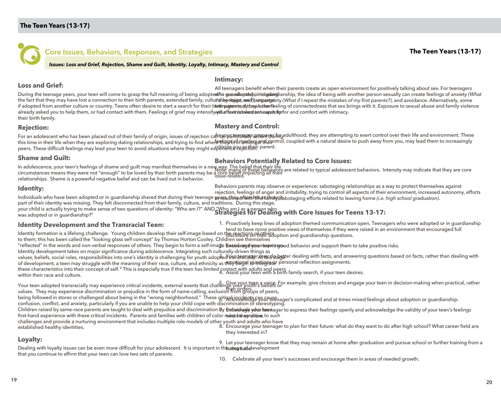<span id="page-10-0"></span>

# **Core Issues, Behaviors, Responses, and Strategies**

*Issues: Loss and Grief, Rejection, Shame and Guilt, Identity, Loyalty, Intimacy, Mastery and Control*

#### **Intimacy:**

**Loss and Grief:**

During the teenage years, your teen will come to grasp the full meaning of being adopted/i**o guaadiapseipomolgdiangl**ianship, the idea of being with another person sexually can create feelings of anxiety (Wh*at* the fact that they may have lost a connection to their birth parents, extended family, cultu**fahegnityget, med),anguarga**nty (What if I repeat the mistakes of my first parents?), and avoidance. Alternatively, some if adopted from another culture or country. Teens often desire to start a search for their biet magrenta, if they bather feeling of connectedness that sex brings with it. Exposure to sexual abuse and family violence already asked you to help them, or had contact with them. Feelings of grief may intensify**yidurffeenáslobesd to seapal ifi**grfor and comfort with intimacy. their birth family. All teenagers benefit when their parents create an open environment for positively talking about sex. For teenagers

#### **Rejection:**

#### **Mastery and Control:**

For an adolescent who has been placed out of their family of origin, issues of rejection can be plateenally sare attempting to exert control over their life and environment. These this time in their life when they are exploring dating relationships, and trying to find where सीएप्रिकार्टमा अल्लाइक कार कारण के coupled with a natural desire to push away from you, may lead them to increasingly peers. These difficult feelings may lead your teen to avoid situations where they might explifience we jectionr parent.

#### **Shame and Guilt:**

#### **Behaviors Potentially Related to Core Issues:**

In adolescence, your teen's feelings of shame and guilt may manifest themselves in a new way. The belief that their life circumstances means they were not "enough" to be loved by their birth parents may be a core belief impacting all their relationships. Shame is a powerful negative belief and can be lived out in behavior. issue-related.

#### **Identity:**

Behaviors parents may observe or experience: sabotaging relationships as a way to protect themselves against rejection, feelings of anger and irritability, trying to control all aspects of their environment, increased autonomy, efforts

Individuals who have been adopted or in guardianship shared that during their teenage <del>yeas chave fun fakse ah</del>nlygs abotaging efforts related to leaving home (i.e. *high school graduation)*. part of their identity was missing. They felt disconnected from their family, culture, and traditions. During this stage,

your child is actually trying to make sense of two questions of identity: "Who am I?" AND <u>"Who am.I as a person who</u> was adopted or in guardianship?" **Strategies for Dealing with Core Issues for Teens 13-17:**

### **Identity Development and the Transracial Teen:**

1. Proactively keep lines of adoption themed communication open. Teenagers who were adopted or in guardianship tend to have more positive views of themselves if they were raised in an environment that encouraged full

Identity formation is a lifelong challenge. Young children develop their self-image based on the reactions of others and guardianship questions.

to them; this has been called the "looking glass self concept" by Thomas Horton Cooley. Children see themselves

"reflected" in the words and non-verbal responses of others. They begin to form a self-ima**ge based regted and thes to se** behavior and support them to take positive risks.

Identity development takes on major significance during adolescence. Integrating such culturally-driven things as

values, beliefs, social roles, responsibilities into one's identity is challenging for youth adop?ed @uh\$ealayerAnawisl9tagster dealing with facts, and answering questions based on facts, rather than dealing with of development, a teen may struggle with the meaning of their race, culture, and ethnicity as t**ABY begal tu astegrate**r personal reflection assignments.

these characteristics into their concept of self. 8 This is especially true if the teen has limited contact with adults and peers and peers if your teen desires.<br>Within their race and culture within their race and culture.

Your teen adopted transracially may experience critical incidents, external events that challenge your youth's beliefs or values. They may experience discrimination or prejudice in the form of name-calling, exclusion from groups of peers, 5. Give your teen a voice. For example, give choices and engage your teen in decision-making when practical, rather than orders.

being followed in stores or challenged about being in the "wrong neighborhood." These gitiaal incidents can cause for the senager's complicated and at times mixed feelings about adoption or guardianship. confusion, conflict, and anxiety, particularly if you are unable to help your child cope with discrimination or stereotyping.

Children raised by same-race parents are taught to deal with prejudice and discrimination **by <del>Endividuage yoon heen</del>ager to express their feelings openly and acknowledge the validity of your teen's feelings** first-hand experience with these critical incidents. Parents and families with children of color **munarbehegnslitive** to such

challenges and provide a nurturing environment that includes multiple role models of other youth and adults who have established healthy identities. 8. Encourage your teenager to plan for their future: what do they want to do after high school? What career field are they interested in?

# **Loyalty:**

Dealing with loyalty issues can be even more difficult for your adolescent. It is important in th**is&tag**e&afevelopment that you continue to affirm that your teen can love two sets of parents. 9. Let your teenager know that they may remain at home after graduation and pursue school or further training from a

10. Celebrate all your teen's successes and encourage them in areas of needed growth.

**The Teen Years (13-17)**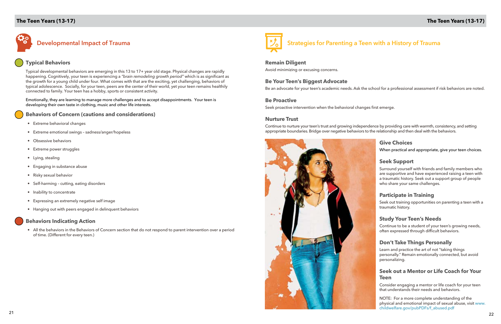

**Strategies for Parenting a Teen with a History of Trauma**

#### **Remain Diligent**

Avoid minimizing or excusing concerns.

#### **Be Your Teen's Biggest Advocate**

Be an advocate for your teen's academic needs. Ask the school for a professional assessment if risk behaviors are noted.

#### **Be Proactive**

Seek proactive intervention when the behavioral changes first emerge.

#### **Nurture Trust**

Continue to nurture your teen's trust and growing independence by providing care with warmth, consistency, and setting appropriate boundaries. Bridge over negative behaviors to the relationship and then deal with the behaviors.



#### **Give Choices**

When practical and appropriate, give your teen choices.

#### **Seek Support**

Surround yourself with friends and family members who are supportive and have experienced raising a teen with a traumatic history. Seek out a support group of people who share your same challenges.

### **Participate in Training**

Seek out training opportunities on parenting a teen with a traumatic history.

#### **Study Your Teen's Needs**

Continue to be a student of your teen's growing needs, often expressed through difficult behaviors.

#### **Don't Take Things Personally**

Learn and practice the art of not "taking things personally." Remain emotionally connected, but avoid personalizing.

### **Seek out a Mentor or Life Coach for Your Teen**

Consider engaging a mentor or life coach for your teen that understands their needs and behaviors.

NOTE: For a more complete understanding of the physical and emotional impact of sexual abuse, visit [www.](www.childwelfare.gov/pubPDFs/f_abused.pdf) [childwelfare.gov/pubPDFs/f\\_abused.pdf](www.childwelfare.gov/pubPDFs/f_abused.pdf)

# **The Teen Years (13-17)**



# **Typical Behaviors**

Typical developmental behaviors are emerging in this 13 to 17+ year old stage. Physical changes are rapidly happening. Cognitively, your teen is experiencing a *"brain remodeling growth period"* which is as significant as the growth for a young child under four. What comes with that are the exciting, yet challenging, behaviors of typical adolescence. Socially, for your teen, peers are the center of their world, yet your teen remains healthily connected to family. Your teen has a hobby, sports or consistent activity.

Emotionally, they are learning to manage more challenges and to accept disappointments. Your teen is developing their own taste in clothing, music and other life interests.

#### **Behaviors of Concern (cautions and considerations)**

- Extreme behavioral changes
- Extreme emotional swings sadness/anger/hopeless
- Obsessive behaviors
- Extreme power struggles
- Lying, stealing
- Engaging in substance abuse
- Risky sexual behavior
- Self-harming cutting, eating disorders
- Inability to concentrate
- Expressing an extremely negative self image
- Hanging out with peers engaged in delinquent behaviors

### **Behaviors Indicating Action**

• All the behaviors in the Behaviors of Concern section that do not respond to parent intervention over a period of time. (Different for every teen.)

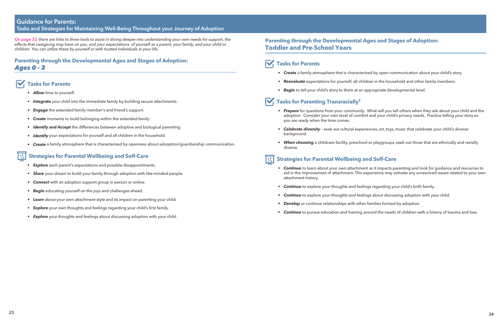#### <span id="page-12-0"></span>**Guidance for Parents: Tasks and Strategies for Maintaining Well-Being Throughout your Journey of Adoption**

*On page 33, there are links to three tools to assist in diving deeper into understanding your own needs for support, the effects that caregiving may have on you, and your expectations of yourself as a parent, your family, and your child or children. You can utilize these by yourself or with trusted individuals in your life.* 

# **Parenting through the Developmental Ages and Stages of Adoption:**  *Ages 0 - 3*

# **Tasks for Parents**

- *• Allow* time to yourself.
- *• Integrate* your child into the immediate family by building secure attachments.
- *• Engage* the extended family member's and friend's support.
- *• Create* moments to build belonging within the extended family
- *• Identify and Accept* the differences between adoptive and biological parenting.
- *• Identify* your expectations for yourself and all children in the household.
- *• Create* a family atmosphere that is characterized by openness about adooption/guardianship communication.

# **Strategies for Parental Wellbeing and Self-Care**

- *• Explore* each parent's expectations and possible disappointments.
- *• Share* your dream to build your family through adoption with like-minded people.
- *• Connect* with an adoption support group in person or online.
- *• Begin* educating yourself on the joys and challenges ahead.
- *• Learn* about your own attachment style and its impact on parenting your child.
- *Explore* your own thoughts and feelings regarding your child's first family.
- *• Explore* your thoughts and feelings about discussing adoption with your child.
- attachment history.
- **Continue** to explore your thoughts and feelings regarding your child's birth family.
- *Continue* to explore your thoughts and feelings about discussing adoption with your child.
- *Develop* or continue relationships with other families formed by adoption.
- *Continue* to pursue education and training around the needs of children with a history of trauma and loss.

# **Parenting through the Developmental Ages and Stages of Adoption: Toddler and Pre-School Years**

# **Tasks for Parents**

- *• Create* a family atmosphere that is characterized by open communication about your child's story.
- *• Reevaluate* expectations for yourself, all children in the household and other family members.
- *• Begin* to tell your child's story to them at an appropriate developmental level.

# **Tasks for Parenting Transracially<sup>9</sup>**

*• Prepare* for questions from your community. What will you tell others when they ask about your child and the adoption. Consider your own level of comfort and your child's privacy needs. Practice telling your story so

*• Celebrate diversity* – seek out cultural experiences, art, toys, music that celebrate your child's diverse

- you are ready when the time comes.
- background.
- diverse.

*• When choosing* a childcare facility, preschool or playgroups, seek out those that are ethnically and racially

# **Strategies for Parental Wellbeing and Self-Care**

*• Continue* to learn about your own attachment as it impacts parenting and look for guidance and resources to aid in the improvement of attachment. This experience may activate any unresolved issues related to your own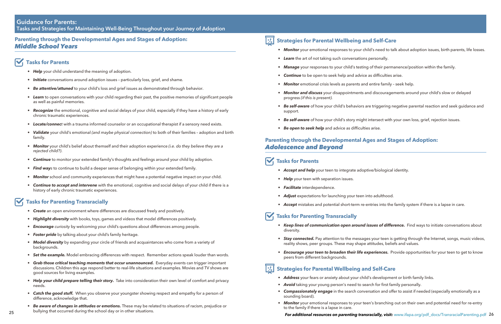# **Parenting through the Developmental Ages and Stages of Adoption:**  *Middle School Years*

# **Tasks for Parents**

- *• Help* your child understand the meaning of adoption.
- *Initiate* conversations around adoption issues particularly loss, grief, and shame.
- *• Be attentive/attuned* to your child's loss and grief issues as demonstrated through behavior.
- *• Learn* to open conversations with your child regarding their past, the positive memories of significant people as well as painful memories.
- *• Recognize* the emotional, cognitive and social delays of your child, especially if they have a history of early chronic traumatic experiences.
- *• Locate/connect* with a trauma informed counselor or an occupational therapist if a sensory need exists.
- *• Validate* your child's emotional *(and maybe physical connection)* to both of their families adoption and birth family.
- *• Monitor* your child's belief about themself and their adoption experience *(i.e. do they believe they are a rejected child?)*.
- **Continue** to monitor your extended family's thoughts and feelings around your child by adoption.
- *• Find ways* to continue to build a deeper sense of belonging within your extended family.
- **Monitor** school and community experiences that might have a potential negative impact on your child.
- *• Continue to accept and intervene* with the emotional, cognitive and social delays of your child if there is a history of early chronic traumatic experiences.

- **Create** an open environment where differences are discussed freely and positively.
- *• Highlight diversity* with books, toys, games and videos that model differences positively.
- *• Encourage curiosity* by welcoming your child's questions about differences among people.
- *• Foster pride* by talking about your child's family heritage.
- *• Model diversity* by expanding your circle of friends and acquaintances who come from a variety of backgrounds.
- *• Set the example.* Model embracing differences with respect. Remember actions speak louder than words.
- Grab those critical teaching moments that occur unannounced. Everyday events can trigger important discussions. Children this age respond better to real-life situations and examples. Movies and TV shows are good sources for living examples.
- Help your child prepare telling their story. Take into consideration their own level of comfort and privacy needs.
- *• Catch the good stuff.* When you observe your youngster showing respect and empathy for a person of difference, acknowledge that.
- *• Be aware of changes in attitudes or emotions.* These may be related to situations of racism, prejudice or bullying that occurred during the school day or in other situations.

#### **Strategies for Parental Wellbeing and Self-Care**  $\mathbf{z}_i$

# **Tasks for Parenting Transracially**

### **Guidance for Parents: Tasks and Strategies for Maintaining Well-Being Throughout your Journey of Adoption**

- 
- *• Learn* the art of not taking such conversations personally.
- **Manage** your responses to your child's testing of their permanence/position within the family.
- *• Continue* to be open to seek help and advice as difficulties arise.
- *Monitor* emotional crisis levels as parents and entire family seek help.
- *• Monitor and discuss* your disappointments and discouragements around your child's slow or delayed progress *(if this is present).*
- support.
- 
- *• Be open to seek help* and advice as difficulties arise.

*• Be self-aware* of how your child's behaviors are triggering negative parental reaction and seek guidance and

*• Be self-aware* of how your child's story might intersect with your own loss, grief, rejection issues.

# **Parenting through the Developmental Ages and Stages of Adoption:**  *Adolescence and Beyond*

# **Tasks for Parents**

- **•** *Accept and help* your teen to integrate adoptive/biological identity.
- *• Help* your teen with separation issues.
- *• Facilitate* interdependence.
- *Adjust* expectations for launching your teen into adulthood.
- 

*• Accept* mistakes and potential short-term re-entries into the family system if there is a lapse in care.

• *Keep lines of communication open around issues of difference. Find ways to initiate conversations about* 

# **Tasks for Parenting Transracially**

*• Stay connected.* Pay attention to the messages your teen is getting through the Internet, songs, music videos,

• *Encourage your teen to broaden their life experiences.* Provide opportunities for your teen to get to know

- diversity.
- reality shows, peer groups. These may shape attitudes, beliefs and values.
- peers from different backgrounds.

# *M***<sub>** $\mathcal{L}_{\mathbf{0}}$  **Strategies for Parental Wellbeing and Self-Care**</sub>

- *• Address* your fears or anxiety about your child's development or birth family links.
- *Avoid* taking your young person's need to search for first family personally.
- *• Compassionately engage* in the search conversation and offer to assist if needed (especially emotionally as a sounding board).
- to the family if there is a lapse in care.

• Monitor your emotional responses to your child's need to talk about adoption issues, birth parents, life losses.

*• Monitor* your emotional responses to your teen's branching out on their own and potential need for re-entry

# 25 Dunying that occurred during the school day or in other situations. **For additional resources on parenting transracially, visit:** [www.ifapa.org/pdf\\_docs/TransracialParenting.pdf](www.ifapa.org/pdf_docs/TransracialParenting.pdf) 26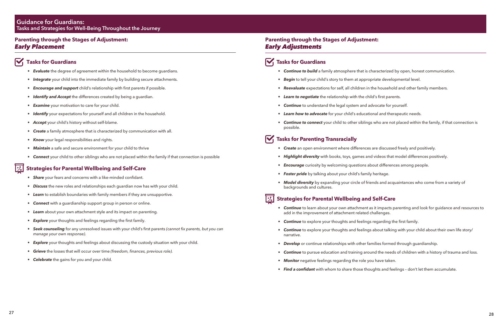# **Parenting through the Stages of Adjustment:**  *Early Placement*

# **Tasks for Guardians**

- *• Share* your fears and concerns with a like-minded confidant.
- *• Discuss* the new roles and relationships each guardian now has with your child.
- *Learn* to establish boundaries with family members if they are unsupportive.
- **Connect** with a guardianship support group in person or online.
- *• Learn* about your own attachment style and its impact on parenting.
- *• Explore* your thoughts and feelings regarding the first family.
- *• Seek counseling* for any unresolved issues with your child's first parents *(cannot fix parents, but you can manage your own response)*.
- *Explore* your thoughts and feelings about discussing the custody situation with your child.
- *• Grieve* the losses that will occur over time *(freedom, finances, previous role).*
- *Celebrate* the gains for you and your child.
- *• Evaluate* the degree of agreement within the household to become guardians.
- *• Integrate* your child into the immediate family by building secure attachments.
- *• Encourage and support* child's relationship with first parents if possible.
- *• Identify and Accept* the differences created by being a guardian.
- *• Examine* your motivation to care for your child.
- *• Identify* your expectations for yourself and all children in the household.
- *• Accept* your child's history without self-blame.
- *• Create* a family atmosphere that is characterized by communication with all.
- *• Know* your legal responsibilities and rights.
- *• Maintain* a safe and secure environment for your child to thrive
- *• Connect* your child to other siblings who are not placed within the family if that connection is possible

### **Strategies for Parental Wellbeing and Self-Care**

#### **Tasks for Parenting Transracially** M

# **Parenting through the Stages of Adjustment:**  *Early Adjustments*

# $\sqrt{ }$  Tasks for Guardians

- *• Continue to build* a family atmosphere that is characterized by open, honest communication.
- *• Begin* to tell your child's story to them at appropriate developmental level.
- **Reevaluate** expectations for self, all children in the household and other family members.
- *• Learn to negotiate* the relationship with the child's first parents.
- *• Continue* to understand the legal system and advocate for yourself.
- *• Learn how to advocate* for your child's educational and therapeutic needs.
- *• Continue to connect* your child to other siblings who are not placed within the family, if that connection is possible.

- *• Create* an open environment where differences are discussed freely and positively.
- *• Highlight diversity* with books, toys, games and videos that model differences positively.
- *• Encourage* curiosity by welcoming questions about differences among people.
- *• Foster pride* by talking about your child's family heritage.
- *• Model diversity* by expanding your circle of friends and acquaintances who come from a variety of backgrounds and cultures.

# **Strategies for Parental Wellbeing and Self-Care**

- *• Continue* to learn about your own attachment as it impacts parenting and look for guidance and resources to add in the improvement of attachment related challenges.
- **Continue** to explore your thoughts and feelings regarding the first family.
- *• Continue* to explore your thoughts and feelings about talking with your child about their own life story/ narrative.
- *• Develop* or continue relationships with other families formed through guardianship.
- *• Continue* to pursue education and training around the needs of children with a history of trauma and loss.
- *• Monitor* negative feelings regarding the role you have taken.
- *• Find a confidant* with whom to share those thoughts and feelings don't let them accumulate.

### <span id="page-14-0"></span>**Guidance for Guardians: Tasks and Strategies for Well-Being Throughout the Journey**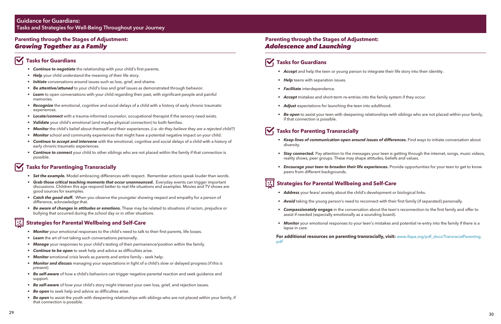# **Parenting through the Stages of Adjustment:**  *Adolescence and Launching*

#### M  **Tasks for Guardians**

- **Accept** and help the teen or young person to integrate their life story into their identity.
- *• Help* teens with separation issues.
- *• Facilitate* interdependence.
- *• Accept* mistakes and short-term re-entries into the family system if they occur.
- *• Adjust* expectations for launching the teen into adulthood.
- if that connection is possible.

*• Be open* to assist your teen with deepening relationships with siblings who are not placed within your family,

# **Tasks for Parenting Transracially**

*• Keep lines of communication open around issues of differences.* Find ways to initiate conversation about

• *Stay connected.* Pay attention to the messages your teen is getting through the internet, songs, music videos,

• *Encourage your teen to broaden their life experiences. Provide opportunities for your teen to get to know* 

**For additional resources on parenting transracially, visit:** [www.ifapa.org/pdf\\_docs/TransracialParenting.](www.ifapa.org/pdf_docs/TransracialParenting.pdf) [pdf](www.ifapa.org/pdf_docs/TransracialParenting.pdf)

- diversity.
- reality shows, peer groups. These may shape attitudes, beliefs and values.
- peers from different backgrounds.

# **Strategies for Parental Wellbeing and Self-Care**

*• Avoid* taking the young person's need to reconnect with their first family (if separated) personally.

*• Compassionately engage* in the conversation about the teen's reconnection to the first family and offer to

- *• Address* your fears/ anxiety about the child's development or biological links.
- 
- assist if needed (especially emotionally as a sounding board).
- lapse in care.

*• Monitor* your emotional responses to your teen's mistakes and potential re-entry into the family if there is a

# **Parenting through the Stages of Adjustment:**  *Growing Together as a Family*

# **Tasks for Guardians**

- **Set the example.** Model embracing differences with respect. Remember actions speak louder than words.
- *Grab those critical teaching moments that occur unannounced.* Everyday events can trigger important discussions. Children this age respond better to real-life situations and examples. Movies and TV shows are good sources for examples.
- *• Catch the good stuff.* When you observe the youngster showing respect and empathy for a person of difference, acknowledge that.
- *• Be aware of changes in attitudes or emotions.* These may be related to situations of racism, prejudice or bullying that occurred during the school day or in other situations.

- *Monitor* your emotional responses to the child's need to talk to their first parents, life losses.
- *• Learn* the art of not taking such conversations personally.
- **Manage** your responses to your child's testing of their permanence/position within the family.
- *• Continue to be open* to seek help and advice as difficulties arise.
- *Monitor* emotional crisis levels as parents and entire family seek help.
- *• Monitor and discuss* managing your expectations in light of a child's slow or delayed progress *(if this is present).*
- *• Be self-aware* of how a child's behaviors can trigger negative parental reaction and seek guidance and support.
- *• Be self-aware* of how your child's story might intersect your own loss, grief, and rejection issues.
- *• Be open* to seek help and advice as difficulties arise.
- *• Be open* to assist the youth with deepening relationships with siblings who are not placed within your family, if that connection is possible.
- *• Continue to negotiate* the relationship with your child's first parents.
- *• Help* your child understand the meaning of their life story.
- *• Initiate* conversations around issues such as loss, grief, and shame.
- *• Be attentive/attuned* to your child's loss and grief issues as demonstrated through behavior.
- Learn to open conversations with your child regarding their past, with significant people and painful memories.
- *• Recognize* the emotional, cognitive and social delays of a child with a history of early chronic traumatic experiences.
- *• Locate/connect* with a trauma-informed counselor, occupational therapist if the sensory need exists.
- *Validate* your child's emotional (and maybe physical connection) to both families.
- *• Monitor* the child's belief about themself and their experiences. *(i.e. do they believe they are a rejected child?)*
- *• Monitor* school and community experiences that might have a potential negative impact on your child.
- *• Continue to accept and intervene* with the emotional, cognitive and social delays of a child with a history of early chronic traumatic experiences.
- *• Continue to connect* your child to other siblings who are not placed within the family if that connection is possible.

# **Tasks for Parentinging Transracially**

#### **Strategies for Parental Wellbeing and Self-Care**

### **Guidance for Guardians: Tasks and Strategies for Well-Being Throughout your Journey**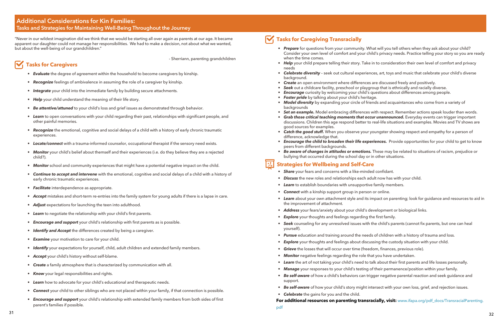# <span id="page-16-0"></span>**Additional Considerations for Kin Families: Tasks and Strategies for Maintaining Well-Being Throughout the Journey**

"Never in our wildest imagination did we think that we would be starting all over again as parents at our age. It became apparent our daughter could not manage her responsibilities. We had to make a decision, not about what we wanted, but about the well-being of our grandchildren."

 *-* Sherriann, parenting grandchildren

 **Tasks for Caregivers**

- *• Evaluate* the degree of agreement within the household to become caregivers by kinship.
- *• Recognize* feelings of ambivalence in assuming the role of a caregiver by kinship.
- *• Integrate* your child into the immediate family by building secure attachments.
- *• Help* your child understand the meaning of their life story.

- *• Be attentive/attuned* to your child's loss and grief issues as demonstrated through behavior.
- *• Learn* to open conversations with your child regarding their past, relationships with significant people, and other painful memories.
- *• Recognize* the emotional, cognitive and social delays of a child with a history of early chronic traumatic experiences.
- *• Locate/connect* with a trauma-informed counselor, occupational therapist if the sensory need exists.
- *• Monitor* your child's belief about themself and their experiences (i.e. do they believe they are a rejected child?).
- *Monitor* school and community experiences that might have a potential negative impact on the child.
- *• Continue to accept and intervene* with the emotional, cognitive and social delays of a child with a history of early chronic traumatic experiences.
- *• Facilitate* interdependence as appropriate.
- *• Accept* mistakes and short-term re-entries into the family system for young adults if there is a lapse in care.
- *• Adjust* expectations for launching the teen into adulthood.
- *• Learn* to negotiate the relationship with your child's first parents.
- *• Encourage and support* your child's relationship with first parents as is possible.
- *• Identify and Accept* the differences created by being a caregiver.
- *• Examine* your motivation to care for your child.
- *• Identify* your expectations for yourself, child, adult children and extended family members.
- *• Accept* your child's history without self-blame.
- *• Create* a family atmosphere that is characterized by communication with all.
- *• Know* your legal responsibilities and rights.
- *• Learn* how to advocate for your child's educational and therapeutic needs.
- *• Connect* your child to other siblings who are not placed within your family, if that connection is possible.
- *• Encourage and support* your child's relationship with extended family members from both sides of first parent's families if possible.
- *• Share* your fears and concerns with a like-minded confidant.
- *• Discuss* the new roles and relationships each adult now has with your child.
- *• Learn* to establish boundaries with unsupportive family members.
- *• Connect* with a kinship support group in person or online.
- *• Learn* about your own attachment style and its impact on parenting; look for guidance and resources to aid in the improvement of attachment.
- *• Address* your fears/anxiety about your child's development or biological links.
- **Explore** your thoughts and feelings regarding the first family.
- *• Seek* counseling for any unresolved issues with the child's parents (cannot fix parents, but one can heal yourself).
- *• Pursue* education and training around the needs of children with a history of trauma and loss.
- *Explore* your thoughts and feelings about discussing the custody situation with your child.
- *Grieve* the losses that will occur over time (freedom, finances, previous role).
- *• Monitor* negative feelings regarding the role that you have undertaken.
- *• Learn* the art of not taking your child's need to talk about their first parents and life losses personally.
- *• Manage* your responses to your child's testing of their permanence/position within your family.
- *• Be self-aware* of how a child's behaviors can trigger negative parental reaction and seek guidance and support.
- 
- *Celebrate* the gains for you and the child.

# **Tasks for Caregiving Transracially**

*• Prepare* for questions from your community. What will you tell others when they ask about your child? Consider your own level of comfort and your child's privacy needs. Practice telling your story so you are ready

*• Help* your child prepare telling their story. Take in to consideration their own level of comfort and privacy

*• Celebrate diversity* – seek out cultural experiences, art, toys and music that celebrate your child's diverse

- when the time comes.
- needs
- background.
- *• Create* an open environment where differences are discussed freely and positively.
- *• Seek* out a childcare facility, preschool or playgroup that is ethnically and racially diverse.
- *• Encourage* curiosity by welcoming your child's questions about differences among people.
- *• Foster pride* by talking about your child's heritage.
- *• Model diversity* by expanding your circle of friends and acquaintances who come from a variety of backgrounds
- 
- good sources for examples.
- difference, acknowledge that.
- peers from different backgrounds.
- bullying that occurred during the school day or in other situations.

### *\thatagies for Wellbeing and Self-Care*

*• Set an example.* Model embracing differences with respect. Remember actions speak louder than words. *Grab those critical teaching moments that occur unannounced.* Everyday events can trigger important discussions. Children this age respond better to real-life situations and examples. Movies and TV shows are

*Catch the good stuff.* When you observe your youngster showing respect and empathy for a person of

*Encourage the child to broaden their life experiences.* Provide opportunities for your child to get to know

*• Be aware of changes in attitudes or emotions.* These may be related to situations of racism, prejudice or

*• Be self-aware* of how your child's story might intersect with your own loss, grief, and rejection issues.

**For additional resources on parenting transracially, visit:** [www.ifapa.org/pdf\\_docs/TransracialParenting.](www.ifapa.org/pdf_docs/TransracialParenting.pdf)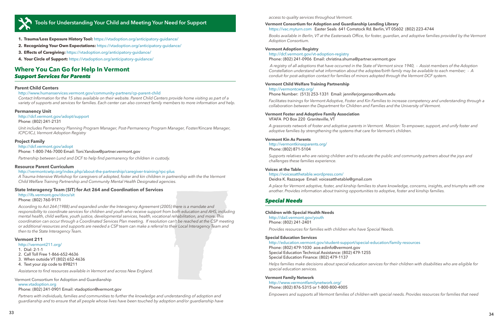<span id="page-17-0"></span>

# **Tools for Understanding Your Child and Meeting Your Need for Support**

- **1. Trauma/Loss Exposure History Tool:** <https://vtadoption.org/anticipatory-guidance/>
- **2. Recognizing Your Own Expectations:** <https://vtadoption.org/anticipatory-guidance/>
- **3. Effects of Caregiving:** <https://vtadoption.org/anticipatory-guidance/>
- **4. Your Circle of Support:**<https://vtadoption.org/anticipatory-guidance/>

### **Where You Can Go for Help In Vermont** *Support Services for Parents*

#### **Parent Child Centers**

#### <http://www.humanservices.vermont.gov/community-partners/cp-parent-child>

*Contact Information for the 15 sites available on their website. Parent Child Centers provide home visiting as part of a variety of supports and services for families. Each center can also connect family members to more information and help.*

#### **Permanency Unit**

<http://dcf.vermont.gov/adopt/support> Phone: (802) 241-2131

*Unit includes Permanency Planning Program Manager, Post-Permanency Program Manager, Foster/Kincare Manager, ICPC/ICJ, Vermont Adoption Registry*

#### **Project Family**

<http://dcf.vermont.gov/adopt> Phone: 1-800-746-7000 Email: [Toni.Yandow@partner.vermont.gov](mailto:Toni.Yandow@partner.vermont.gov)

*Partnership between Lund and DCF to help find permanency for children in custody.*

#### **Resource Parent Curriculum**

<http://vermontcwtp.org/index.php/about-the-partnership/caregiver-training/rpc-plus>

*A Trauma-Intensive Workshop for caregivers of adopted, foster and kin children in partnership with the the Vermont Child Welfare Training Partnership and Community Mental Health Designated agencies.* 

#### **State Interagency Team (SIT) for Act 264 and Coordination of Services**

<http://ifs.vermont.gov/docs/sit> Phone: (802) 760-9171

*According to Act 264 (1988) and expanded under the Interagency Agreement (2005) there is a mandate and responsibility to coordinate services for children and youth who receive support from both education and AHS, including mental health, child welfare, youth justice, developmental services, health, vocational rehabilitation, and more. This coordination can occur through a Coordinated Services Plan meeting. If resolution can't be reached at the CSP meeting or additional resources and supports are needed a CSP team can make a referral to their Local Interagency Team and then to the State Interagency Team.* 

#### **Vermont 211**

#### <http://vermont211.org>/

- 1. Dial: 2-1-1
- 2. Call Toll Free 1-866-652-4636
- 3. When outside VT (802) 652-4636
- 4. Text your zip code to 898211

*Assistance to find resources available in Vermont and across New England.* 

Vermont Consortium for Adoption and Guardianship

<www.vtadoption.org>

#### Phone: (802) 241-0901 Email: [vtadoption@vermont.gov](mailto:vtadoption@vermont.gov)

*Partners with individuals, families and communities to further the knowledge and understanding of adoption and guardianship and to ensure that all people whose lives have been touched by adoption and/or guardianship have*  *access to quality services throughout Vermont.*

#### **Vermont Consortium for Adoption and Guardianship Lending Library** <https://vac.myturn.com> Easter Seals 641 Comstock Rd. Berlin, VT 05602 (802) 223-4744

*Books available in Berlin, VT at the Easterseals Office, for foster, guardian, and adoptive families provided by the Vermont Adoption Consortium.* 

#### **Vermont Adoption Registry**

#### [http://dcf.vermont.gov/vt](http://dcf.vermont.gov/vt-adoption-registry
)-adoption-registry Phone: (802) 241-0906 Email: [christina.shuma@partner.vermont.gov](mailto:christina.shuma@partner.vermont.gov)

*A registry of all adoptions that have occurred in the State of Vermont since 1940, - Assist members of the Adoption Constellation understand what information about the adoptee/birth family may be available to each member; - A conduit for post-adoption contact for families of minors adopted through the Vermont DCF system.*

#### **Vermont Child Welfare Training Partnership**

#### <http://vermontcwtp.org>/

Phone Number: (513) 253-1331 Email: [jenniferjorgenson@uvm.edu](mailto:jenniferjorgenson@uvm.edu)

*Facilitates trainings for Vermont Adoptive, Foster and Kin Families to increase competency and understanding through a collaboration between the Department for Children and Families and the University of Vermont.*

#### **Vermont Foster and Adoptive Family Association** VFAFA PO Box 220 Graniteville, VT

*A grassroots network of foster and adoptive parents in Vermont. Mission: To empower, support, and unify foster and adoptive families by strengthening the systems that care for Vermont's children.*

#### **Vermont Kin As Parents**

<http://vermontkinasparents.org>/ Phone: (802) 871-5104

*Supports relatives who are raising children and to educate the public and community partners about the joys and challenges these families experience.* 

#### **Voices at the Table**

#### [https://voicesatthetable.wordpress.com/](https://voicesatthetable.wordpress.com) Deidra K. Razzaque Email: [voicesatthetable@gmail.com](mailto:voicesatthetable@gmail.com)

*A place for Vermont adoptive, foster, and kinship families to share knowledge, concerns, insights, and triumphs with one another. Provides information about training opportunities to adoptive, foster and kinship families.*

#### *Special Needs*

#### **Children with Special Health Needs**

<http://dail.vermont.gov/youth> Phone: (802) 241-2401

*Provides resources for families with children who have Special Needs.* 

#### **Special Education Services**

<http://education.vermont.gov/student-support/special-education/family-resources> Phone: (802) 479-1030 [aoe.edinfo@vermont.gov](mailto:aoe.edinfo@vermont.gov) Special Education Technical Assistance: (802) 479-1255 Special Education Finance: (802) 479-1137

*Helps families make decisions about special education services for their children with disabilities who are eligible for special education services.*

#### **Vermont Family Network**

<http://www.vermontfamilynetwork.org>/ Phone: (802) 876-5315 or 1-800-800-4005

*Empowers and supports all Vermont families of children with special needs. Provides resources for families that need*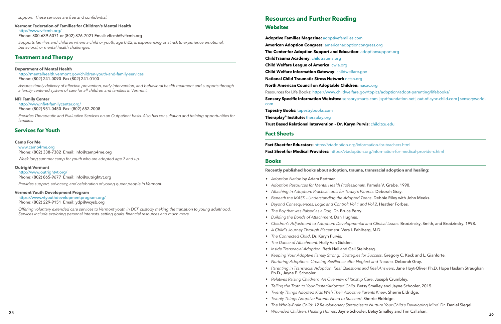# **Resources and Further Reading Websites**

**Adoptive Families Magazine:** <adoptivefamilies.com> **American Adoption Congress**: <americanadoptioncongress.org> **The Center for Adoption Support and Education**: <adoptionsupport.org> **ChildTrauma Academy**: <childtrauma.org> **Child Welfare League of America**: <cwla.org> **Child Welfare Information Gateway**:<childwelfare.gov> **National Child Traumatic Stress Network** <nctsn.org> **North American Council on Adoptable Children:** <nacac.org> Resources for Life Books: [https://www.childwelfare.gov/topics/adoption/adopt-parenting/lifebooks/](https://www.childwelfare.gov/topics/adoption/adopt-parenting/lifebooks) **Sensory Specific Information Websites:** <sensorysmarts.com>| <spdfoundation.net>| <out-of-sync-child.com>| [sensoryworld.](sensoryworld.com) [com](sensoryworld.com) **Tapestry Books:** <tapestrybooks.com>

**Theraplay© Institute:** <theraplay.org> **Trust Based Relational Intervention – Dr. Karyn Purvis:** <child.tcu.edu>

#### **Fact Sheets**

**Fact Sheet for Educators:** <https://vtadoption.org/information-for-teachers.html> **Fact Sheet for Medical Providers:** <https://vtadoption.org/information-for-medical-providers.html>

#### **Books**

**Recently published books about adoption, trauma, transracial adoption and healing:**

• *Children's Adjustment to Adoption: Developmental and Clinical Issues.* Brodzinsky, Smith, and Brodzinsky. 1998.

- *Adoption Nation* by Adam Pertman
- *Adoption Resources for Mental Health Professionals.* Pamela V. Grabe. 1990.
- *Attaching in Adoption: Practical tools for Today's Parents*. Deborah Gray.
- *Beneath the MASK Understanding the Adopted Teens*. Debbie Riley with John Meeks.
- *Beyond Consequences, Logic and Control: Vol 1 and Vol 2*. Heather Forbes.
- *The Boy that was Raised as a Dog*. Dr. Bruce Perry.
- *Building the Bonds of Attachment.* Dan Hughes.
- 
- *A Child's Journey Through Placement*. Vera I. Fahlberg, M.D.
- *The Connected Child*. Dr. Karyn Purvis.
- *The Dance of Attachment*. Holly Van Gulden.
- *Inside Transracial Adoption*. Beth Hall and Gail Steinberg.
- *Keeping Your Adoptive Family Strong: Strategies for Success*. Gregory C. Keck and L. Gianforte.
- Ph.D., Jayne E. Schooler.
- *Relatives Raising Children: An Overview of Kinship Care*. Joseph Crumbley.
- *Telling the Truth to Your Foster/Adopted Child*. Betsy Smalley and Jayne Schooler, 2015.
- *Twenty Things Adopted Kids Wish Their Adoptive Parents Knew*. Sherrie Eldridge.
- *Twenty Things Adoptive Parents Need to Succeed*. Sherrie Eldridge.
- 
- <sup>35</sup> <sup>36</sup> *Wounded Children, Healing Homes*. Jayne Schooler, Betsy Smalley and Tim Callahan.

• *Nurturing Adoptions: Creating Resilience after Neglect and Trauma.* Deborah Gray. • *Parenting in Transracial Adoption: Real Questions and Real Answers*. Jane Hoyt-Oliver Ph.D. Hope Haslam Straughan

• *The Whole-Brain Child: 12 Revolutionary Strategies to Nurture Your Child's Developing Mind*. Dr. Daniel Siegel.

*support. These services are free and confidential.*

#### **Vermont Federation of Families for Children's Mental Health**

[http://www.vffcmh.org/](http://www.vffcmh.org)

Phone: 800-639-6071 or (802) 876-7021 Email: [vffcmh@vffcmh.org](mailto:vffcmh@vffcmh.org)

*Supports families and children where a child or youth, age 0-22, is experiencing or at risk to experience emotional, behavioral, or mental health challenges.*

#### **Treatment and Therapy**

#### **Department of Mental Health**

<http://mentalhealth.vermont.gov/children-youth-and-family-services> Phone: (802) 241-0090 Fax (802) 241-0100

*Assures timely delivery of effective prevention, early intervention, and behavioral health treatment and supports through a family-centered system of care for all children and families in Vermont.*

#### **NFI Family Center**

#### <http://www.nfivt-familycenter.org>/

Phone: (802) 951-0450 Fax: (802) 652-2008

*Provides Therapeutic and Evaluative Services on an Outpatient basis. Also has consultation and training opportunities for families.* 

#### **Services for Youth**

#### **Camp For Me**

<www.camp4me.org> Phone: (802) 338-7382 Email: [info@camp4me.org](mailto:info@camp4me.org)

*Week long summer camp for youth who are adopted age 7 and up.*

#### **Outright Vermont**

[http://www.outrightvt.org/](http://www.outrightvt.org) Phone: (802) 865-9677 Email: [info@outrightvt.org](mailto:info@outrightvt.org)

*Provides support, advocacy, and celebration of young queer people in Vermont.* 

#### **Vermont Youth Development Program**

[https://www.vtyouthdevelopmentprogram.org/](https://www.vtyouthdevelopmentprogram.org) Phone: (802) 229-9151 Email: [ydp@wcysb.org](mailto:ydp@wcysb.org)

*Offering voluntary extended care services to Vermont youth in DCF custody making the transition to young adulthood. Services include exploring personal interests, setting goals, financial resources and much more*